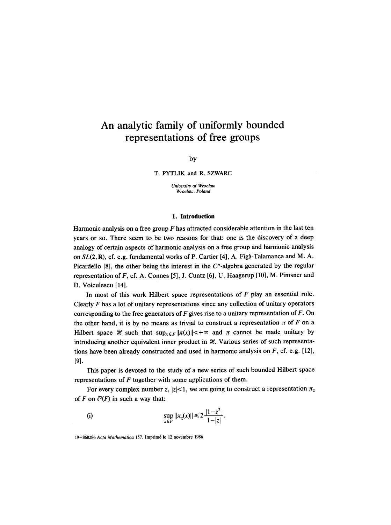# **An analytic family of uniformly bounded representations of free groups**

by

T. PYTLIK and R. SZWARC

*University of Wroclaw Wroctaw, Poland* 

## **1. Introduction**

Harmonic analysis on a free group  $F$  has attracted considerable attention in the last ten years or so. There seem to be two reasons for that: one is the discovery of a deep analogy of certain aspects of harmonic analysis on a free group and harmonic analysis on *SL*(2, **R**), cf. e.g. fundamental works of P. Cartier [4], A. Figà-Talamanca and M. A. Picardello  $[8]$ , the other being the interest in the  $C^*$ -algebra generated by the regular representation of  $F$ , cf. A. Connes [5], J. Cuntz [6], U. Haagerup [10], M. Pimsner and D. Voiculescu [14].

In most of this work Hilbert space representations of  $F$  play an essential role. Clearly  $F$  has a lot of unitary representations since any collection of unitary operators corresponding to the free generators of  $F$  gives rise to a unitary representation of  $F$ . On the other hand, it is by no means as trivial to construct a representation  $\pi$  of F on a Hilbert space  $\mathcal X$  such that  $\sup_{x \in F} ||\pi(x)|| < +\infty$  and  $\pi$  cannot be made unitary by introducing another equivalent inner product in  $\mathcal{H}$ . Various series of such representations have been already constructed and used in harmonic analysis on  $F$ , cf. e.g. [12], [91.

This paper is devoted to the study of a new series of such bounded Hilbert space representations of  $F$  together with some applications of them.

For every complex number z,  $|z| < 1$ , we are going to construct a representation  $\pi_z$ of F on  $l^2(F)$  in such a way that:

(i) 
$$
\sup_{x \in F} ||\pi_z(x)|| \leq 2 \frac{|1-z^2|}{1-|z|}.
$$

19-868286 Acta Mathematica 157. Imprimé le 12 novembre 1986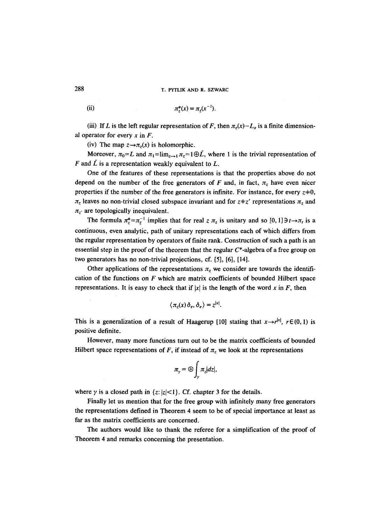(ii) 
$$
\pi_z^*(x) = \pi_z(x^{-1}).
$$

(iii) If L is the left regular representation of F, then  $\pi_z(x) - L_x$  is a finite dimensional operator for every  $x$  in  $F$ .

(iv) The map  $z \rightarrow \pi_z(x)$  is holomorphic.

Moreover,  $\pi_0 = L$  and  $\pi_1 = \lim_{z \to 1} \pi_z = 1 \oplus \tilde{L}$ , where 1 is the trivial representation of F and  $\tilde{L}$  is a representation weakly equivalent to  $L$ .

One of the features of these representations is that the properties above do not depend on the number of the free generators of F and, in fact,  $\pi$ <sub>z</sub> have even nicer properties if the number of the free generators is infinite. For instance, for every  $z=0$ ,  $\pi_z$  leaves no non-trivial closed subspace invariant and for  $z \pm z'$  representations  $\pi_z$  and  $\pi_{z'}$  are topologically inequivalent.

The formula  $\pi_z^* = \pi_z^{-1}$  implies that for real z  $\pi_z$  is unitary and so  $[0, 1]$   $\exists t \rightarrow \pi_t$  is a continuous, even analytic, path of unitary representations each of which differs from the regular representation by operators of finite rank. Construction of such a path is an essential step in the proof of the theorem that the regular  $C^*$ -algebra of a free group on two generators has no non-trivial projections, cf. [5], [6], [14].

Other applications of the representations  $\pi$ , we consider are towards the identification of the functions on  $F$  which are matrix coefficients of bounded Hilbert space representations. It is easy to check that if  $|x|$  is the length of the word x in F, then

$$
\langle \pi_z(x) \, \delta_e, \delta_e \rangle = z^{|x|}.
$$

This is a generalization of a result of Haagerup [10] stating that  $x \rightarrow r^{|x|}$ ,  $r \in (0, 1)$  is positive definite.

However, many more functions turn out to be the matrix coefficients of bounded Hilbert space representations of F, if instead of  $\pi$ <sub>z</sub> we look at the representations

$$
\pi_{\gamma} = \bigoplus_{\gamma} \pi_{z} |dz|,
$$

where  $\gamma$  is a closed path in  $\{z: |z| < 1\}$ . Cf. chapter 3 for the details.

Finally let us mention that for the free group with infinitely many free generators the representations defined in Theorem 4 seem to be of special importance at least as far as the matrix coefficients are concerned.

The authors would like to thank the referee for a simplification of the proof of Theorem 4 and remarks concerning the presentation.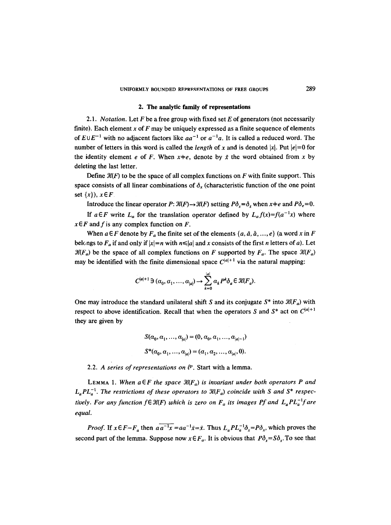### **2. The analytic family of representations**

2.1. *Notation.* Let F be a free group with fixed set E of generators (not necessarily finite). Each element x of  $F$  may be uniquely expressed as a finite sequence of elements of  $E \cup E^{-1}$  with no adjacent factors like  $aa^{-1}$  or  $a^{-1}a$ . It is called a reduced word. The number of letters in this word is called the *length* of x and is denoted |x|. Put  $|e|=0$  for the identity element e of F. When  $x \neq e$ , denote by  $\bar{x}$  the word obtained from x by deleting the last letter.

Define  $\mathcal{H}(F)$  to be the space of all complex functions on F with finite support. This space consists of all linear combinations of  $\delta_x$  (characteristic function of the one point set  $\{x\}$ ,  $x \in F$ 

Introduce the linear operator  $P: \mathcal{H}(F) \to \mathcal{H}(F)$  setting  $P\delta_x = \delta_x$ , when  $x \neq e$  and  $P\delta_e = 0$ .

If  $a \in F$  write  $L_a$  for the translation operator defined by  $L_a f(x) = f(a^{-1}x)$  where  $x \in F$  and f is any complex function on F.

When  $a \in F$  denote by  $F_a$  the finite set of the elements  $\{a, \bar{a}, \bar{a}, ..., e\}$  (a word x in F belongs to  $F_a$  if and only if  $|x|=n$  with  $n \leq |a|$  and x consists of the first n letters of a). Let  $\mathcal{K}(F_a)$  be the space of all complex functions on F supported by  $F_a$ . The space  $\mathcal{K}(F_a)$ may be identified with the finite dimensional space  $C^{|a|+1}$  via the natural mapping:

$$
C^{|a|+1} \ni (\alpha_0, \alpha_1, \dots, \alpha_{|a|}) \to \sum_{k=0}^{|a|} \alpha_k P^k \delta_a \in \mathcal{K}(F_a).
$$

One may introduce the standard unilateral shift S and its conjugate  $S^*$  into  $\mathcal{K}(F_a)$  with respect to above identification. Recall that when the operators S and  $S^*$  act on  $C^{|a|+1}$ they are given by

$$
S(\alpha_0, \alpha_1, ..., \alpha_{|a|}) = (0, \alpha_0, \alpha_1, ..., \alpha_{|a|-1})
$$
  

$$
S^*(\alpha_0, \alpha_1, ..., \alpha_{|a|}) = (\alpha_1, \alpha_2, ..., \alpha_{|a|}, 0).
$$

2.2. A series of representations on  $\ell^p$ . Start with a lemma.

LEMMA 1. When  $a \in F$  the space  $\mathcal{H}(F_a)$  is invariant under both operators P and  $L_a PL_a^{-1}$ . The restrictions of these operators to  $\mathfrak{R}(F_a)$  coincide with S and S<sup>\*</sup> respec*tively. For any function f* $\epsilon$   $\mathcal{H}(F)$  *which is zero on*  $F_a$  *its images Pf and*  $L_a PL_a^{-1}$ *f are equal.* 

*Proof.* If  $x \in F - F_a$  then  $a\overline{a^{-1}x} = aa^{-1}\overline{x} = \overline{x}$ . Thus  $L_aPL_a^{-1}\delta_x = P\delta_x$ , which proves the second part of the lemma. Suppose now  $x \in F_a$ . It is obvious that  $P\delta_x = S\delta_x$ . To see that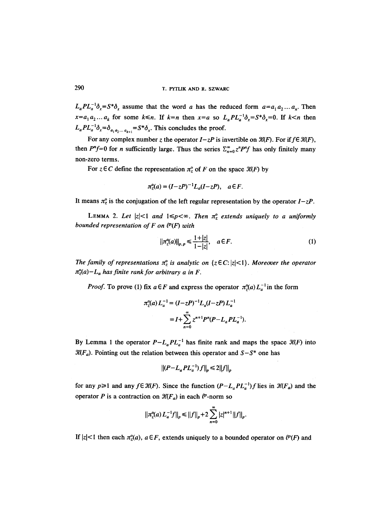$L_aPL_a^{-1}\delta_x=S^*\delta_x$  assume that the word *a* has the reduced form  $a=a_1a_2...a_n$ . Then  $x=a_1a_2...a_k$  for some  $k \le n$ . If  $k=n$  then  $x=a$  so  $L_aPL_a^{-1}\delta_x=S^*\delta_x=0$ . If  $k < n$  then  $L_a PL_a^{-1} \delta_x = \delta_{a_1 a_2 ... a_{k+1}} = S^* \delta_x$ . This concludes the proof.

For any complex number z the operator  $I-zP$  is invertible on  $\mathcal{H}(F)$ . For if  $f \in \mathcal{H}(F)$ , then *P<sup>n</sup>f*=0 for *n* sufficiently large. Thus the series  $\sum_{n=0}^{\infty} z^n P^n f$  has only finitely many non-zero terms.

For  $z \in C$  define the representation  $\pi_z^{\circ}$  of F on the space  $\mathcal{H}(F)$  by

$$
\pi_z^{\circ}(a) = (I - zP)^{-1}L_a(I - zP), \quad a \in F.
$$

It means  $\pi^o_z$  is the conjugation of the left regular representation by the operator  $I-zP$ .

LEMMA 2. Let  $|z| < 1$  and  $1 \leq p < \infty$ . Then  $\pi_z^o$  extends uniquely to a uniformly *bounded representation of F on*  $\ell^p(F)$  *with* 

$$
||\pi_2^o(a)||_{p,p} \le \frac{1+|z|}{1-|z|}, \quad a \in F. \tag{1}
$$

*The family of representations*  $\pi_z^{\circ}$  *is analytic on* { $z \in C$ :  $|z| < 1$ }. *Moreover the operator*  $\pi_{z}^{\circ}(a)-L_{a}$  has finite rank for arbitrary a in F.

*Proof.* To prove (1) fix  $a \in F$  and express the operator  $\pi_2^{\circ}(a) L_a^{-1}$  in the form

$$
\pi_2^{\circ}(a) L_a^{-1} = (I - zP)^{-1} L_a (I - zP) L_a^{-1}
$$
  
=  $I + \sum_{n=0}^{\infty} z^{n+1} P^n (P - L_a P L_a^{-1}).$ 

By Lemma 1 the operator  $P-L_aPL_a^{-1}$  has finite rank and maps the space  $\mathcal{H}(F)$  into  $\mathcal{K}(F_a)$ . Pointing out the relation between this operator and  $S-S^*$  one has

$$
||(P-L_aPL_a^{-1})f||_p \le 2||f||_p
$$

for any  $p \ge 1$  and any  $f \in \mathcal{K}(F)$ . Since the function  $(P - L_a PL_a^{-1})f$  lies in  $\mathcal{K}(F_a)$  and the operator P is a contraction on  $\mathcal{K}(F_a)$  in each  $\ell^p$ -norm so

$$
\left|\left|\pi_2^{\circ}(a) L_a^{-1} f\right|\right|_p \leq \left|\left|f\right|\right|_p + 2 \sum_{n=0}^{\infty} \left|z\right|^{n+1} \left|\left|f\right|\right|_p.
$$

If  $|z| < 1$  then each  $\pi_z^{\circ}(a)$ ,  $a \in F$ , extends uniquely to a bounded operator on  $\ell^p(F)$  and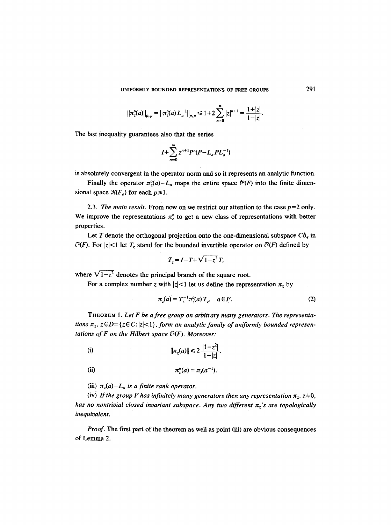UNIFORMLY BOUNDED REPRESENTATIONS OF FREE GROUPS 291

$$
||\pi_{z}^{\circ}(a)||_{p,p}=||\pi_{z}^{\circ}(a)L_{a}^{-1}||_{p,p}\leq 1+2\sum_{n=0}^{\infty}|z|^{n+1}=\frac{1+|z|}{1-|z|}.
$$

The last inequality guarantees also that the series

$$
I+\sum_{n=0}^{\infty}z^{n+1}P^n(P-L_aPL_a^{-1})
$$

is absolutely convergent in the operator norm and so it represents an analytic function.

Finally the operator  $\pi_{z}^{\circ}(a)-L_{a}$  maps the entire space  $\ell^{\circ}(F)$  into the finite dimensional space  $\mathcal{K}(F_a)$  for each  $p\geq 1$ .

2.3. *The main result.* From now on we restrict our attention to the case  $p=2$  only. We improve the representations  $\pi_z^{\circ}$  to get a new class of representations with better properties.

Let T denote the orthogonal projection onto the one-dimensional subspace  $C\delta_e$  in  $l^2(F)$ . For |z| < 1 let  $T_z$  stand for the bounded invertible operator on  $l^2(F)$  defined by

$$
T_z = I - T + \sqrt{1 - z^2} T,
$$

where  $\sqrt{1-z^2}$  denotes the principal branch of the square root.

For a complex number z with  $|z| < 1$  let us define the representation  $\pi_z$  by

$$
\pi_{z}(a) = T_{z}^{-1} \pi_{z}^{\circ}(a) T_{z}, \quad a \in F. \tag{2}
$$

THEOREM 1. *Let F be a free group on arbitrary many generators. The representations*  $\pi$ <sub>z</sub>,  $z \in D = \{z \in C : |z| < 1\}$ , *form an analytic family of uniformly bounded representations of F on the Hilbert space*  $l^2(F)$ *. Moreover:* 

(i) 
$$
||\pi_z(a)|| \leq 2 \frac{|1-z^2|}{1-|z|}.
$$

(ii) 
$$
\pi_z^*(a) = \pi_z(a^{-1}).
$$

(iii)  $\pi_z(a) - L_a$  is a finite rank operator.

(iv) If the group F has infinitely many generators then any representation  $\pi_z$ ,  $z=0$ , *has no nontrivial closed invariant subspace. Any two different*  $\pi$ <sup>2</sup>'s are topologically *inequivalent.* 

*Proof.* The first part of the theorem as well as point (iii) are obvious consequences of Lemma 2.

 $\mathcal{L}_{\mathbf{q}}$  , and  $\mathcal{L}_{\mathbf{q}}$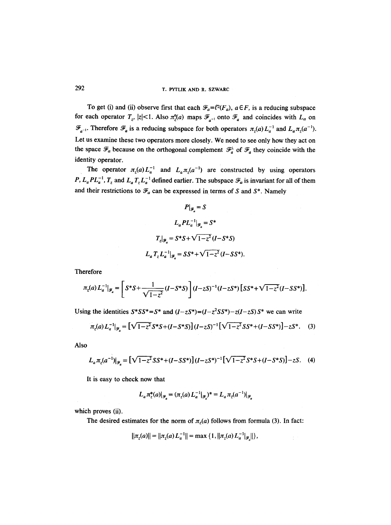## 292 T. PYTLIK AND R. SZWARC

To get (i) and (ii) observe first that each  $\mathcal{F}_a = l^2(F_a)$ ,  $a \in F$ , is a reducing subspace for each operator  $T_z$ ,  $|z| < 1$ . Also  $\pi_\zeta^o(a)$  maps  $\mathcal{F}_{a^{-1}}$  onto  $\mathcal{F}_a$  and coincides with  $L_a$  on  $\mathscr{F}_{a^{-1}}$ . Therefore  $\mathscr{F}_a$  is a reducing subspace for both operators  $\pi_z(a)L_a^{-1}$  and  $L_a\pi_z(a^{-1})$ . Let us examine these two operators more closely. We need to see only how they act on the space  $\mathcal{F}_a$  because on the orthogonal complement  $\mathcal{F}_a^{\perp}$  of  $\mathcal{F}_a$  they coincide with the identity operator.

The operator  $\pi_z(a)L_a^{-1}$  and  $L_a\pi_z(a^{-1})$  are constructed by using operators *P, L<sub>a</sub>PL*<sup>-1</sup>,  $T_z$  and  $L_a T_z L_a^{-1}$  defined earlier. The subspace  $\mathcal{F}_a$  is invariant for all of them and their restrictions to  $\mathcal{F}_a$  can be expressed in terms of S and S\*. Namely

$$
P|_{\mathcal{F}_a} = S
$$
  
\n
$$
L_a PL_a^{-1}|_{\mathcal{F}_a} = S^*
$$
  
\n
$$
T_z|_{\mathcal{F}_a} = S^* S + \sqrt{1 - z^2} (I - S^* S)
$$
  
\n
$$
L_a T_z L_a^{-1}|_{\mathcal{F}_a} = SS^* + \sqrt{1 - z^2} (I - SS^*).
$$

Therefore

$$
\pi_z(a) L_a^{-1}|_{\mathcal{F}_a} = \left[ S^* S + \frac{1}{\sqrt{1-z^2}} (I - S^* S) \right] (I - zS)^{-1} (I - zS^*) \left[ S S^* + \sqrt{1-z^2} (I - S S^*) \right].
$$

Using the identities  $S^*SS^*=S^*$  and  $(I-zS^*)=(I-z^2SS^*)-z(I-zS)S^*$  we can write

$$
\pi_z(a) L_a^{-1}|_{\mathcal{F}_a} = \left[\sqrt{1-z^2} S^* S + (I - S^* S)\right] (I - zS)^{-1} \left[\sqrt{1-z^2} S S^* + (I - S S^*)\right] - zS^*.
$$
 (3)

Also

$$
L_a \pi_z(a^{-1})|_{\mathcal{F}_a} = \left[\sqrt{1-z^2}SS^* + (I - SS^*)\right](I - zS^*)^{-1}\left[\sqrt{1-z^2}S^*S + (I - S^*S)\right] - zS. \tag{4}
$$

It is easy to check now that

$$
L_a \pi_z^*(a)|_{\mathcal{F}_a} = (\pi_z(a) L_a^{-1}|_{\mathcal{F}_a})^* = L_a \pi_z(a^{-1})|_{\mathcal{F}_a}
$$

which proves (ii).

The desired estimates for the norm of  $\pi_z(a)$  follows from formula (3). In fact:

$$
||\pi_{z}(a)|| = ||\pi_{z}(a) L_{a}^{-1}|| = \max\left\{1, ||\pi_{z}(a) L_{a}^{-1}||_{\mathscr{F}_{a}}||\right\},\,
$$

÷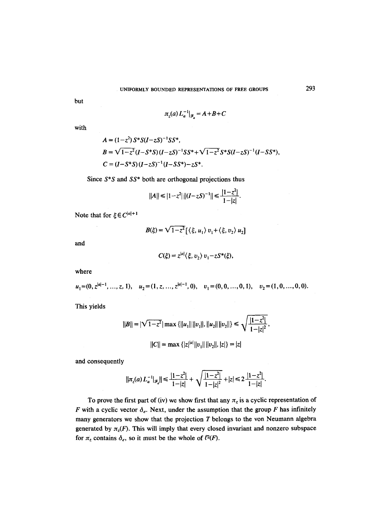UNIFORMLY BOUNDED REPRESENTATIONS OF FREE GROUPS

but

$$
\pi_z(a) L_a^{-1}|_{\mathcal{F}_z} = A + B + C
$$

with

$$
A = (1-z^2) S^* S (I-zS)^{-1} S S^*,
$$
  
\n
$$
B = \sqrt{1-z^2} (I-S^*S) (I-zS)^{-1} S S^* + \sqrt{1-z^2} S^* S (I-zS)^{-1} (I-S S^*),
$$
  
\n
$$
C = (I-S^*S) (I-zS)^{-1} (I-S S^*) - z S^*.
$$

Since *S\*S and SS\** both are orthogonal projections thus

$$
||A|| \le |1-z^2| ||(I-zS)^{-1}|| \le \frac{|1-z^2|}{1-|z|}.
$$

Note that for  $\xi \in C^{|a|+1}$ 

 $\ddot{\phantom{1}}$ 

$$
B(\xi) = \sqrt{1-z^2} \left[ \langle \xi, u_1 \rangle v_1 + \langle \xi, v_2 \rangle u_2 \right]
$$

and

$$
C(\xi) = z^{|a|} \langle \xi, v_2 \rangle v_1 - z S^*(\xi),
$$

where

$$
u_1=(0, z^{|a|-1}, \ldots, z, 1),
$$
  $u_2=(1, z, \ldots, z^{|a|-1}, 0),$   $v_1=(0, 0, \ldots, 0, 1),$   $v_2=(1, 0, \ldots, 0, 0).$ 

This yields

$$
||B|| = |\sqrt{1 - z^2}| \max \{||u_1|| ||v_1||, ||u_2|| ||v_2||\} \le \sqrt{\frac{|1 - z^2|}{1 - |z|^2}},
$$
  

$$
||C|| = \max \{ |z|^{|a|} ||v_1|| ||v_2||, |z| \} = |z|
$$

and consequently

$$
\|\pi_z(a)L_a^{-1}|_{\mathscr{F}_a}\| \le \frac{|1-z^2|}{1-|z|} + \sqrt{\frac{|1-z^2|}{1-|z|^2}} + |z| \le 2\frac{|1-z^2|}{1-|z|}.
$$

To prove the first part of (iv) we show first that any  $\pi_z$  is a cyclic representation of F with a cyclic vector  $\delta_e$ . Next, under the assumption that the group F has infinitely many generators we show that the projection  $T$  belongs to the von Neumann algebra generated by  $\pi_z(F)$ . This will imply that every closed invariant and nonzero subspace for  $\pi_z$  contains  $\delta_e$ , so it must be the whole of  $l^2(F)$ .

293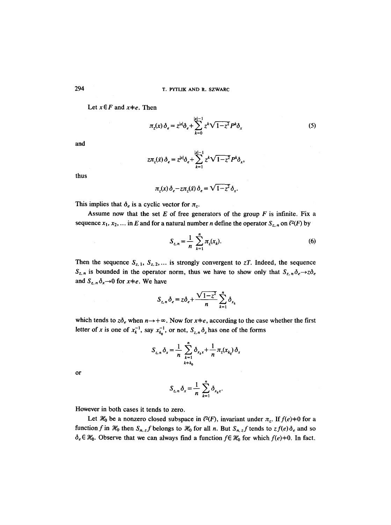Let  $x \in F$  and  $x \neq e$ . Then

$$
\pi_z(x)\,\delta_e = z^{|x|}\delta_e + \sum_{k=0}^{|x|-1} z^k \sqrt{1-z^2} P^k \delta_x \tag{5}
$$

and

$$
z\pi_z(\bar{x})\,\delta_e=z^{|x|}\delta_e+\sum_{k=1}^{|x|-1}z^k\sqrt{1-z^2}P^k\delta_x,
$$

thus

 $\bar{\gamma}$ 

$$
\pi_z(x)\,\delta_e - z\pi_z(\bar{x})\,\delta_e = \sqrt{1-z^2}\,\delta_x.
$$

This implies that  $\delta_e$  is a cyclic vector for  $\pi_z$ .

Assume now that the set  $E$  of free generators of the group  $F$  is infinite. Fix a sequence  $x_1, x_2, ...$  in E and for a natural number n define the operator  $S_{z,n}$  on  $l^2(F)$  by

$$
S_{z,n} = \frac{1}{n} \sum_{k=1}^{n} \pi_z(x_k).
$$
 (6)

and  $S_{z,n} \delta_x \rightarrow 0$  for  $x \neq e$ . We have Then the sequence  $S_{z,1}$ ,  $S_{z,2}$ ,... is strongly convergent to *zT*. Indeed, the sequence  $S_{z,n}$  is bounded in the operator norm, thus we have to show only that  $S_{z,n} \delta_e \rightarrow z \delta_e$ 

$$
S_{z,n} \delta_e = z \delta_e + \frac{\sqrt{1-z^2}}{n} \sum_{k=1}^n \delta_{x_k}
$$

which tends to  $z\delta_e$  when  $n \rightarrow +\infty$ . Now for  $x \neq e$ , according to the case whether the first letter of x is one of  $x_k^{-1}$ , say  $x_{k_0}^{-1}$ , or not,  $S_{z,n} \delta_x$  has one of the forms

$$
S_{z,n} \delta_x = \frac{1}{n} \sum_{\substack{k=1 \ k \neq k_0}}^n \delta_{x_k x} + \frac{1}{n} \pi_z(x_{k_0}) \delta_x
$$

or

$$
S_{z,n}\delta_x=\frac{1}{n}\sum_{k=1}^n\delta_{x_kx}.
$$

However in both cases it tends to zero.

Let  $\mathcal{H}_0$  be a nonzero closed subspace in  $\ell^2(F)$ , invariant under  $\pi_z$ . If  $f(e) \neq 0$  for a function f in  $\mathcal{H}_0$  then  $S_{n,z}$  f belongs to  $\mathcal{H}_0$  for all n. But  $S_{n,z}$  f tends to  $zf(e)\delta_e$  and so  $\delta_e \in \mathcal{H}_0$ . Observe that we can always find a function  $f \in \mathcal{H}_0$  for which  $f(e) \neq 0$ . In fact,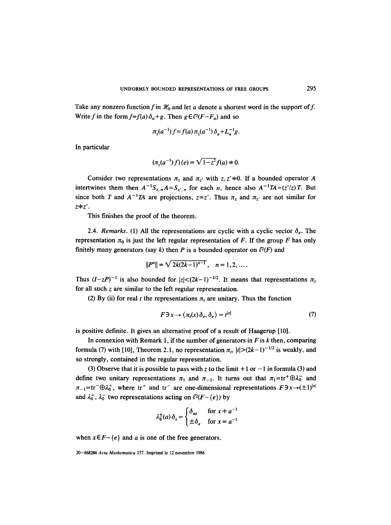Take any nonzero function f in  $\mathcal{H}_0$  and let a denote a shortest word in the support of f. Write f in the form  $f=f(a)\delta_a+g$ . Then  $g \in l^2(F-F_a)$  and so

$$
\pi_2(a^{-1})f = f(a)\,\pi_2(a^{-1})\,\delta_a + L_a^{-1}g.
$$

In particular

$$
(\pi_z(a^{-1})f)(e) = \sqrt{1-z^2}f(a) \neq 0.
$$

Consider two representations  $\pi_z$  and  $\pi_{z'}$  with z, z'+0. If a bounded operator A intertwines them then  $A^{-1}S_{z,n}A=S_{z',n}$  for each *n*, hence also  $A^{-1}TA=(z'/z)T$ . But since both T and  $A^{-1}TA$  are projections,  $z=z'$ . Thus  $\pi_z$  and  $\pi_{z'}$  are not similar for *Z~Z'.* 

This finishes the proof of the theorem.

2.4. *Remarks.* (1) All the representations are cyclic with a cyclic vector  $\delta_e$ . The representation  $\pi_0$  is just the left regular representation of F. If the group F has only finitely many generators (say k) then P is a bounded operator on  $l^2(F)$  and

$$
||P^n|| = \sqrt{2k(2k-1)^{n-1}}, \quad n = 1, 2, \ldots.
$$

Thus  $(I-zP)^{-1}$  is also bounded for  $|z| < (2k-1)^{-1/2}$ . It means that representations  $\pi_z$ for all such  $z$  are similar to the left regular representation.

(2) By (ii) for real t the representations  $\pi_t$  are unitary. Thus the function

$$
F \exists x \to \langle \pi_t(x) \, \delta_e, \delta_e \rangle = t^{|x|} \tag{7}
$$

is positive definite. It gives an alternative proof of a result of Haagerup [10].

In connexion with Remark 1, if the number of generators in  $F$  is  $k$  then, comparing formula (7) with [10], Theorem 2.1, no representation  $\pi$ ,  $|t| > (2k-1)^{-1/2}$  is weakly, and so strongly, contained in the regular representation.

(3) Observe that it is possible to pass with z to the limit  $+1$  or  $-1$  in formula (3) and define two unitary representations  $\pi_1$  and  $\pi_{-1}$ . It turns out that  $\pi_1$ =tr<sup>+</sup> $\oplus \lambda_0^-$  and  $\pi_{-1}$ =tr<sup>-</sup> $\oplus \lambda_0^+$ , where tr<sup>+</sup> and tr<sup>-</sup> are one-dimensional representations  $F3x \rightarrow (±1)^{|x|}$ and  $\lambda_0^+$ ,  $\lambda_0^-$  two representations acting on  $\ell^2(F-\lbrace e \rbrace)$  by

$$
\lambda_0^{\pm}(a)\,\delta_x = \begin{cases} \delta_{ax} & \text{for } x \neq a^{-1} \\ \pm \delta_a & \text{for } x = a^{-1} \end{cases}
$$

when  $x \in F - \{e\}$  and a is one of the free generators.

<sup>20-868286</sup> Acta Mathematica 157. Imprimé le 12 novembre 1986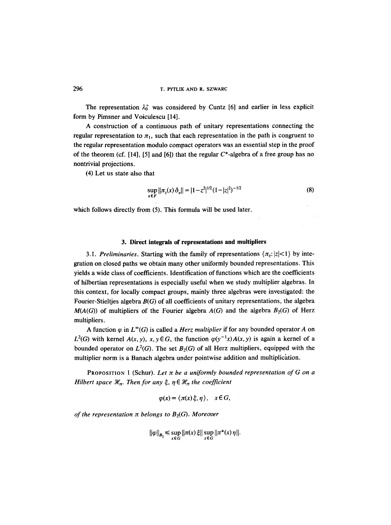The representation  $\lambda_0^+$  was considered by Cuntz [6] and earlier in less explicit form by Pimsner and Voiculescu [14].

A construction of a continuous path of unitary representations connecting the regular representation to  $\pi_1$ , such that each representation in the path is congruent to the regular representation modulo compact operators was an essential step in the proof of the theorem (cf. [14], [5] and [6]) that the regular  $C^*$ -algebra of a free group has no nontrivial projections.

(4) Let us state also that

$$
\sup_{x \in F} \|\pi_z(x) \,\delta_e\| = |1 - z^2|^{1/2} (1 - |z|^2)^{-1/2} \tag{8}
$$

which follows directly from (5). This formula will be used later.

## **3. Direct integrals of representations and multipliers**

3.1. Preliminaries. Starting with the family of representations  $\{\pi_z: |z| < 1\}$  by integration on closed paths we obtain many other uniformly bounded representations. This yields a wide class of coefficients. Identification of functions which are the coefficients of hilbertian representations is especially useful when we study multiplier algebras. In this context, for locally compact groups, mainly three algebras were investigated: the Fourier-Stieltjes algebra *B(G)* of all coefficients of unitary representations, the algebra  $M(A(G))$  of multipliers of the Fourier algebra  $A(G)$  and the algebra  $B_2(G)$  of Herz multipliers.

A function  $\varphi$  in  $L^{\infty}(G)$  is called a *Herz multiplier* if for any bounded operator A on  $L^2(G)$  with kernel  $A(x, y)$ ,  $x, y \in G$ , the function  $\varphi(y^{-1}x)A(x, y)$  is again a kernel of a bounded operator on  $L^2(G)$ . The set  $B_2(G)$  of all Herz multipliers, equipped with the multiplier norm is a Banach algebra under pointwise addition and multiplication.

PROPOSITION 1 (Schur). Let  $\pi$  be a uniformly bounded representation of G on a *Hilbert space*  $\mathcal{H}_n$ *. Then for any*  $\xi$ *,*  $\eta \in \mathcal{H}_n$  *the coefficient* 

$$
\varphi(x) = \langle \pi(x) \xi, \eta \rangle, \quad x \in G,
$$

*of the representation*  $\pi$  *belongs to*  $B_2(G)$ *. Moreover* 

$$
\|\varphi\|_{B_2} \leq \sup_{x \in G} \|\pi(x)\,\xi\| \sup_{x \in G} \|\pi^*(x)\,\eta\|.
$$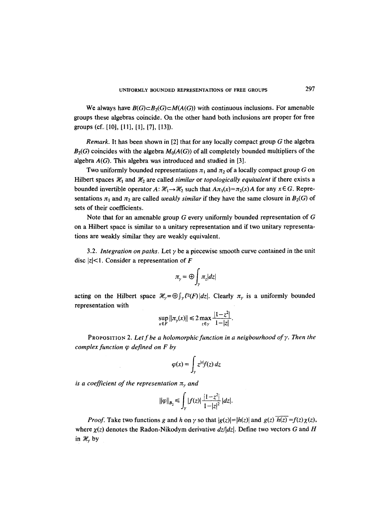We always have  $B(G) \subset B_2(G) \subset M(A(G))$  with continuous inclusions. For amenable groups these algebras coincide. On the other hand both inclusions are proper for free groups (cf., [10], [11], [1], [7], [13]).

*Remark.* It has been shown in [2] that for any locally compact group G the algebra  $B_2(G)$  coincides with the algebra  $M_0(A(G))$  of all completely bounded multipliers of the algebra *A(G).* This algebra was introduced and studied in [3].

Two uniformly bounded representations  $\pi_1$  and  $\pi_2$  of a locally compact group G on Hilbert spaces  $\mathcal{H}_1$  and  $\mathcal{H}_2$  are called *similar* or *topologically equivalent* if there exists a bounded invertible operator  $A: \mathcal{H}_1 \to \mathcal{H}_2$  such that  $A\pi_1(x) = \pi_2(x)A$  for any  $x \in G$ . Representations  $\pi_1$  and  $\pi_2$  are called *weakly similar* if they have the same closure in  $B_2(G)$  of sets of their coefficients.

Note that for an amenable group G every uniformly bounded representation of G on a Hilbert space is similar to a unitary representation and if two unitary representations are weakly similar they are weakly equivalent.

3.2. *Integration on paths.* Let  $\gamma$  be a piecewise smooth curve contained in the unit disc  $|z|$ <1. Consider a representation of F

$$
\pi_{\gamma} = \bigoplus_{\gamma} \pi_{z} |dz|
$$

acting on the Hilbert space  $\mathcal{H}_{\gamma} = \bigoplus \int_{\gamma} l^2(F) |dz|$ . Clearly  $\pi_{\gamma}$  is a uniformly bounded representation with

$$
\sup_{x \in F} ||\pi_{\gamma}(x)|| \leq 2 \max_{z \in \gamma} \frac{|1-z^2|}{1-|z|}.
$$

PROPOSITION 2. Let f be a holomorphic function in a neigbourhood of  $\gamma$ . Then the *complex function q~ defined on F by* 

$$
\varphi(x) = \int_{\gamma} z^{|x|} f(z) \, dz
$$

*is a coefficient of the representation*  $\pi$ <sup>*, and*</sup>

$$
||\varphi||_{B_2} \leq \int_{\gamma} |f(z)| \frac{|1-z^2|}{1-|z|^2} |dz|.
$$

*Proof.* Take two functions g and h on  $\gamma$  so that  $|g(z)| = |h(z)|$  and  $g(z)$   $\overline{h(z)} = f(z)\chi(z)$ , where  $\chi(z)$  denotes the Radon-Nikodym derivative  $dz/dz$ . Define two vectors G and H in  $\mathcal{H}_{\gamma}$  by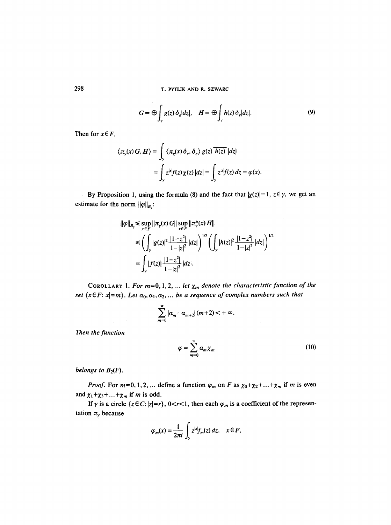$$
G = \bigoplus_{\gamma} g(z) \, \delta_e |dz|, \quad H = \bigoplus_{\gamma} h(z) \, \delta_e |dz|.
$$
 (9)

Then for  $x \in F$ ,

$$
\langle \pi_{\gamma}(x) G, H \rangle = \int_{\gamma} \langle \pi_{z}(x) \, \delta_{e}, \delta_{e} \rangle g(z) \overline{h(z)} |dz|
$$
  
= 
$$
\int_{\gamma} z^{|x|} f(z) \chi(z) |dz| = \int_{\gamma} z^{|x|} f(z) \, dz = \varphi(x).
$$

By Proposition 1, using the formula (8) and the fact that  $|\chi(z)| = 1$ ,  $z \in \gamma$ , we get an estimate for the norm  $||\varphi||_{B_2}$ :

$$
\|\varphi\|_{B_2} \le \sup_{x \in F} \|\pi_y(x) G\| \sup_{x \in F} \|\pi_y^*(x) H\|
$$
  
\n
$$
\le \left( \int_y |g(z)|^2 \frac{|1-z^2|}{1-|z|^2} |dz| \right)^{1/2} \left( \int_y |h(z)|^2 \frac{|1-z^2|}{1-|z|^2} |dz| \right)^{1/2}
$$
  
\n
$$
= \int_y |f(z)| \frac{|1-z^2|}{1-|z|^2} |dz|.
$$

COROLLARY 1. For  $m=0, 1, 2, ...$  *let*  $\chi_m$  *denote the characteristic function of the set*  $\{x \in F: |x|=m\}$ . Let  $a_0, a_1, a_2, ...$  be a sequence of complex numbers such that

$$
\sum_{m=0}^{\infty}|\alpha_m-\alpha_{m+2}|(m+2)<+\infty.
$$

*Then the function* 

 $\mathbb{R}^2$ 

$$
\varphi = \sum_{m=0}^{\infty} \alpha_m \chi_m \tag{10}
$$

*belongs to*  $B_2(F)$ .

*Proof.* For  $m=0, 1, 2, ...$  define a function  $\varphi_m$  on F as  $\chi_0 + \chi_2 + ... + \chi_m$  if m is even and  $\chi_1 + \chi_3 + \ldots + \chi_m$  if m is odd.

If  $\gamma$  is a circle  $\{z \in C: |z|=r\}$ ,  $0 < r < 1$ , then each  $\varphi_m$  is a coefficient of the representation  $\pi_{\gamma}$  because

$$
\varphi_m(x) = \frac{1}{2\pi i} \int_{\gamma} z^{|x|} f_m(z) dz, \quad x \in F,
$$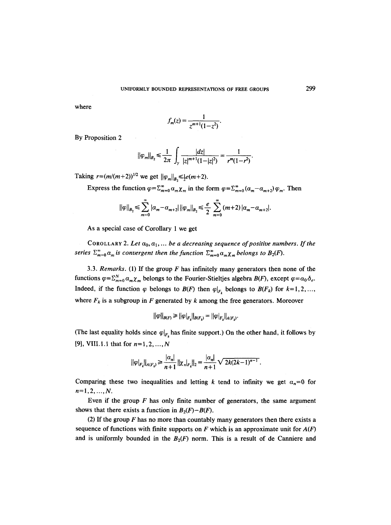where

$$
f_m(z) = \frac{1}{z^{m+1}(1-z^2)}.
$$

By Proposition 2

$$
\|\varphi_m\|_{B_2} \le \frac{1}{2\pi} \int_{\gamma} \frac{|dz|}{|z|^{m+1}(1-|z|^2)} = \frac{1}{r^m(1-r^2)}.
$$

Taking  $r=(m/(m+2))^{1/2}$  we get  $||\varphi_m||_{B_2} \le \frac{1}{2}e(m+2)$ .

 $\mathcal{L}^{\text{max}}_{\text{max}}$  and  $\mathcal{L}^{\text{max}}_{\text{max}}$ 

Express the function  $\varphi = \sum_{m=0}^{\infty} \alpha_m \chi_m$  in the form  $\varphi = \sum_{m=0}^{\infty} (\alpha_m - \alpha_{m+2}) \varphi_m$ . Then

$$
||\varphi||_{B_2} \leq \sum_{m=0}^{\infty} |\alpha_m - \alpha_{m+2}| ||\varphi_m||_{B_2} \leq \frac{e}{2} \sum_{m=0}^{\infty} (m+2) |\alpha_m - \alpha_{m+2}|.
$$

As a special case of Corollary 1 we get

COROLLARY 2. Let  $a_0, a_1, \ldots$  be a decreasing sequence of positive numbers. If the *series*  $\sum_{m=0}^{\infty} a_m$  *is convergent then the function*  $\sum_{m=0}^{\infty} a_m \chi_m$  *belongs to*  $B_2(F)$ *.* 

3.3. *Remarks.* (1) If the group  $F$  has infinitely many generators then none of the functions  $\varphi = \sum_{m=0}^{N} \alpha_m \chi_m$  belongs to the Fourier-Stieltjes algebra  $B(F)$ , except  $\varphi = \alpha_0 \delta_e$ . Indeed, if the function  $\varphi$  belongs to  $B(F)$  then  $\varphi|_{F_k}$  belongs to  $B(F_k)$  for  $k=1,2,...,$ where  $F_k$  is a subgroup in F generated by k among the free generators. Moreover

$$
||\varphi||_{B(F)} \ge ||\varphi|_{F_k}||_{B(F_k)} = ||\varphi|_{F_k}||_{A(F_k)}.
$$

(The last equality holds since  $\varphi|_{F_k}$  has finite support.) On the other hand, it follows by [9], VIII.1.1 that for  $n=1,2,...,N$ 

$$
||\varphi|_{F_k}||_{A(F_k)} \geq \frac{|\alpha_n|}{n+1} ||\chi_n|_{F_k}||_2 = \frac{|\alpha_n|}{n+1} \sqrt{2k(2k-1)^{n-1}}.
$$

Comparing these two inequalities and letting k tend to infinity we get  $\alpha_n=0$  for  $n=1,2,...,N$ .

Even if the group  $F$  has only finite number of generators, the same argument shows that there exists a function in  $B_2(F) - B(F)$ .

(2) If the group  $F$  has no more than countably many generators then there exists a sequence of functions with finite supports on F which is an approximate unit for  $A(F)$ and is uniformly bounded in the  $B_2(F)$  norm. This is a result of de Canniere and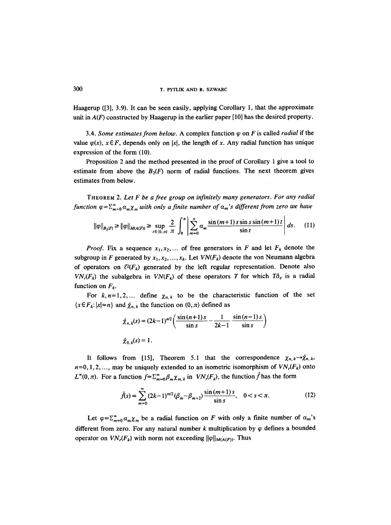Haagerup ([3], 3.9). It can be seen easily, applying Corollary 1, that the approximate unit in  $A(F)$  constructed by Haagerup in the earlier paper [10] has the desired property.

3.4. *Some estimates from below.* A complex function  $\varphi$  on F is called *radial* if the value  $\varphi(x)$ ,  $x \in F$ , depends only on |x|, the length of x. Any radial function has unique expression of the form (I0).

Proposition 2 and the method presented in the proof of Corollary 1 give a tool to estimate from above the  $B_2(F)$  norm of radial functions. The next theorem gives estimates from below.

THEOREM 2. *Let F be a free group on infinitely many generators. For any radial function*  $\varphi = \sum_{m=0}^{\infty} a_m \chi_m$  *with only a finite number of*  $a_m$ 's different from zero we have

$$
\|\varphi\|_{B_2(F)} \ge \|\varphi\|_{M(A(F))} \ge \sup_{t \in (0,\pi)} \frac{2}{\pi} \int_0^{\pi} \left| \sum_{m=0}^{\pi} \alpha_m \frac{\sin((m+1) s \sin s \sin((m+1) t)}{\sin t} \right| ds. \tag{11}
$$

*Proof.* Fix a sequence  $x_1, x_2, \ldots$  of free generators in F and let  $F_k$  denote the subgroup in F generated by  $x_1, x_2, ..., x_k$ . Let  $VN(F_k)$  denote the von Neumann algebra of operators on  $\ell^2(F_k)$  generated by the left regular representation. Denote also  $VN_r(F_k)$  the subalgebra in  $VN(F_k)$  of these operators T for which  $T\delta_e$  is a radial function on  $F_k$ .

For  $k, n=1,2,...$  define  $\chi_{n,k}$  to be the characteristic function of the set  $\{x \in F_k: |x|=n\}$  and  $\hat{\chi}_{n,k}$  the function on  $(0,\pi)$  defined as

$$
\hat{\chi}_{n,k}(s) = (2k-1)^{n/2} \left( \frac{\sin{(n+1)s}}{\sin{s}} - \frac{1}{2k-1} \frac{\sin{(n-1)s}}{\sin{s}} \right)
$$
  

$$
\hat{\chi}_{0,k}(s) = 1.
$$

It follows from [15], Theorem 5.1 that the correspondence  $\chi_{n,k}\rightarrow\hat{\chi}_{n,k}$ ,  $n=0, 1, 2, \ldots$ , may be uniquely extended to an isometric isomorphism of  $VN_r(F_k)$  onto  $L^{\infty}(0, \pi)$ . For a function  $f=\sum_{m=0}^{\infty}\beta_m\chi_{m,k}$  in  $VN_r(F_k)$ , the function  $\hat{f}$  has the form

$$
\hat{f}(s) = \sum_{m=0}^{\infty} (2k-1)^{m/2} (\beta_m - \beta_{m+2}) \frac{\sin (m+1) s}{\sin s}, \quad 0 < s < \pi.
$$
 (12)

Let  $\varphi = \sum_{m=0}^{\infty} a_m \chi_m$  be a radial function on F with only a finite number of  $a_m$ 's different from zero. For any natural number k multiplication by  $\varphi$  defines a bounded operator on  $VN_r(F_k)$  with norm not exceeding  $||\varphi||_{M(A(F))}$ . Thus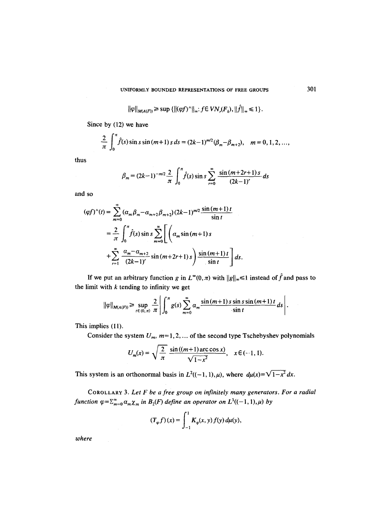$$
\|\varphi\|_{M(A(F))} \geq \sup \{ \|\langle \varphi f \rangle^{\wedge}\|_{\infty}: f \in VN_r(F_k), \|\hat{f}\|_{\infty} \leq 1 \}.
$$

Since by (12) we have

$$
\frac{2}{\pi}\int_0^{\pi}\hat{f}(s)\sin s\sin (m+1)\,s\,ds=(2k-1)^{m/2}(\beta_m-\beta_{m+2}),\quad m=0,1,2,\ldots,
$$

thus

$$
\beta_m = (2k-1)^{-m/2} \frac{2}{\pi} \int_0^{\pi} \hat{f}(s) \sin s \sum_{r=0}^{\infty} \frac{\sin (m+2r+1) s}{(2k-1)^r} ds
$$

and so

$$
(\varphi f)^{\wedge}(t) = \sum_{m=0}^{\infty} (\alpha_m \beta_m - \alpha_{m+2} \beta_{m+2}) (2k-1)^{m/2} \frac{\sin (m+1)t}{\sin t}
$$
  
=  $\frac{2}{\pi} \int_0^{\pi} \hat{f}(s) \sin s \sum_{m=0}^{\infty} \left[ \left( \alpha_m \sin (m+1) s \right) + \sum_{r=1}^{\infty} \frac{\alpha_m - \alpha_{m+2}}{(2k-1)^r} \sin (m+2r+1) s \right] \frac{\sin (m+1)t}{\sin t} ds.$ 

If we put an arbitrary function g in  $L^{\infty}(0,\pi)$  with  $||g||_{\infty} \le 1$  instead of  $\hat{f}$  and pass to the limit with  $k$  tending to infinity we get

$$
\|\varphi\|_{M(A(F))} \geq \sup_{t \in (0,\pi)} \frac{2}{\pi} \left| \int_0^{\pi} g(s) \sum_{m=0}^{\infty} \alpha_m \frac{\sin{(m+1)} s \sin s \sin{(m+1)} t}{\sin t} ds \right|.
$$

This implies (11).

Consider the system  $U_m$ ,  $m=1,2,...$  of the second type Tschebyshev polynomials

$$
U_m(x) = \sqrt{\frac{2}{\pi}} \frac{\sin((m+1)\arccos x)}{\sqrt{1-x^2}}, \quad x \in (-1, 1).
$$

This system is an orthonormal basis in  $L^2((-1, 1), \mu)$ , where  $d\mu(x) = \sqrt{1-x^2} dx$ .

COROLLARY 3. *Let F be a free group on infinitely many generators. For a radial function*  $\varphi = \sum_{m=0}^{\infty} \alpha_m \chi_m$  *in*  $B_2(F)$  *define an operator on*  $L^1((-1, 1), \mu)$  *by* 

$$
(T_{\varphi} f)(x) = \int_{-1}^{1} K_{\varphi}(x, y) f(y) d\mu(y),
$$

*where*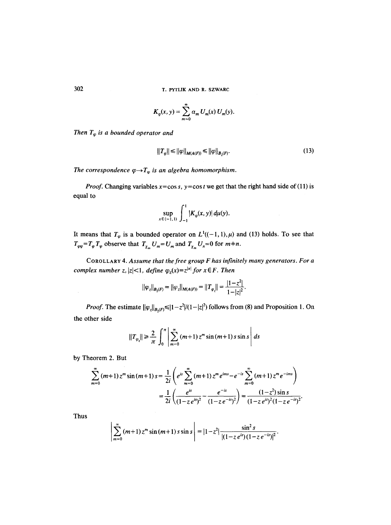$$
K_{\varphi}(x, y) = \sum_{m=0}^{\infty} \alpha_m U_m(x) U_m(y).
$$

*Then*  $T_{\varphi}$  *is a bounded operator and* 

$$
||T_{\varphi}|| \le ||\varphi||_{M(A(F))} \le ||\varphi||_{B_2(F)}.
$$
\n(13)

*The correspondence*  $\varphi \rightarrow T_{\varphi}$  *is an algebra homomorphism.* 

*Proof.* Changing variables  $x = \cos s$ ,  $y = \cos t$  we get that the right hand side of (11) is equal to

$$
\sup_{x \in (-1,1)} \int_{-1}^1 |K_{\varphi}(x,y)| \, d\mu(y).
$$

It means that  $T_{\varphi}$  is a bounded operator on  $L^1((-1, 1), \mu)$  and (13) holds. To see that  $T_{\varphi\psi} = T_{\varphi} T_{\psi}$  observe that  $T_{\chi_m} U_m = U_m$  and  $T_{\chi_m} U_n = 0$  for  $m+n$ .

COROLLARY 4. *Assume that the free group F has infinitely many generators. For a complex number z,*  $|z| < 1$ *, define*  $\varphi_z(x) = z^{|x|}$  *for*  $x \in F$ *. Then* 

$$
||\varphi_z||_{B_2(F)} = ||\varphi_z||_{M(A(F))} = ||T_{\varphi_z}|| = \frac{|1-z^2|}{1-|z|^2}.
$$

*Proof.* The estimate  $||\varphi_z||_{B_2(F)} \le |1-z^2|/(1-|z|^2)$  follows from (8) and Proposition 1. On the other side

$$
||T_{\varphi_z}|| \ge \frac{2}{\pi} \int_0^{\pi} \left| \sum_{m=0}^{\infty} (m+1) z^m \sin (m+1) s \sin s \right| ds
$$

by Theorem 2. But

$$
\sum_{m=0}^{\infty} (m+1) z^m \sin (m+1) s = \frac{1}{2i} \left( e^{is} \sum_{m=0}^{\infty} (m+1) z^m e^{ims} - e^{-is} \sum_{m=0}^{\infty} (m+1) z^m e^{-ims} \right)
$$
  
= 
$$
\frac{1}{2i} \left( \frac{e^{is}}{(1-z e^{is})^2} - \frac{e^{-is}}{(1-z e^{-is})^2} \right) = \frac{(1-z^2) \sin s}{(1-z e^{is})^2 (1-z e^{-is})^2}.
$$

Thus

$$
\left|\sum_{m=0}^{\infty} (m+1) z^m \sin (m+1) s \sin s\right| = |1-z^2| \frac{\sin^2 s}{|(1-z e^{is})(1-z e^{-is})|^2}.
$$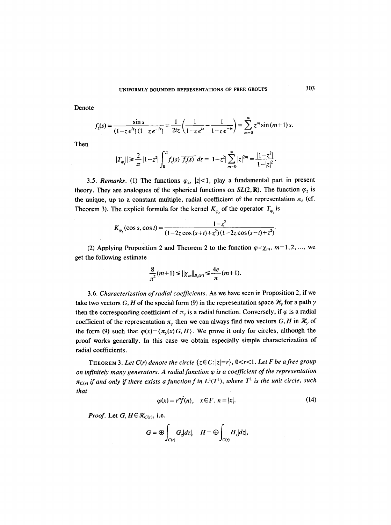Denote

$$
f_z(s) = \frac{\sin s}{(1 - z e^{is})(1 - z e^{-is})} = \frac{1}{2iz} \left( \frac{1}{1 - z e^{is}} - \frac{1}{1 - z e^{-is}} \right) = \sum_{m=0}^{\infty} z^m \sin (m+1) s.
$$

Then

$$
||T_{\varphi_z}|| \geq \frac{2}{\pi} |1-z^2| \int_0^{\pi} f_z(s) \overline{f_z(s)} ds = |1-z^2| \sum_{m=0}^{\infty} |z|^{2m} = \frac{|1-z^2|}{1-|z|^2}.
$$

3.5. *Remarks.* (1) The functions  $\varphi_z$ ,  $|z| < 1$ , play a fundamental part in present theory. They are analogues of the spherical functions on  $SL(2, \mathbb{R})$ . The function  $\varphi_z$  is the unique, up to a constant multiple, radial coefficient of the representation  $\pi$ <sub>z</sub> (cf. Theorem 3). The explicit formula for the kernel  $K_{\varphi}$  of the operator  $T_{\varphi}$  is

$$
K_{\varphi_z}(\cos s, \cos t) = \frac{1-z^2}{(1-2z\cos(s+t)+z^2)(1-2z\cos(s-t)+z^2)}.
$$

(2) Applying Proposition 2 and Theorem 2 to the function  $\varphi=\chi_m$ ,  $m=1,2,...$ , we get the following estimate

$$
\frac{8}{\pi^2}(m+1) \le ||\chi_m||_{B_2(F)} \le \frac{4e}{\pi}(m+1).
$$

3.6. *Characterization of radial coefficients.* As we have seen in Proposition 2, if we take two vectors *G, H* of the special form (9) in the representation space  $\mathcal{H}_y$  for a path  $\gamma$ then the corresponding coefficient of  $\pi_{\nu}$  is a radial function. Conversely, if  $\varphi$  is a radial coefficient of the representation  $\pi_{\gamma}$  then we can always find two vectors G, H in  $\mathcal{H}_{\gamma}$  of the form (9) such that  $\varphi(x) = \langle \pi_y(x)G, H \rangle$ . We prove it only for circles, although the proof works generally. In this case we obtain especially simple characterization of radial coefficients.

THEOREM 3. Let  $C(r)$  denote the circle  $\{z \in C: |z|=r\}$ ,  $0 < r < 1$ . Let F be a free group *on infinitely many generators. A radial function*  $\varphi$  *is a coefficient of the representation*  $\pi_{C(r)}$  if and only if there exists a function f in  $L^1(T^1)$ , where  $T^1$  is the unit circle, such *that* 

$$
\varphi(x) = r^n \hat{f}(n), \quad x \in F, \ n = |x|.
$$
\n(14)

*Proof.* Let  $G, H \in \mathcal{H}_{C(r)}$ , i.e.

$$
G=\oplus\int_{C(r)}G_z|dz|,\quad H=\oplus\int_{C(r)}H_z|dz|,
$$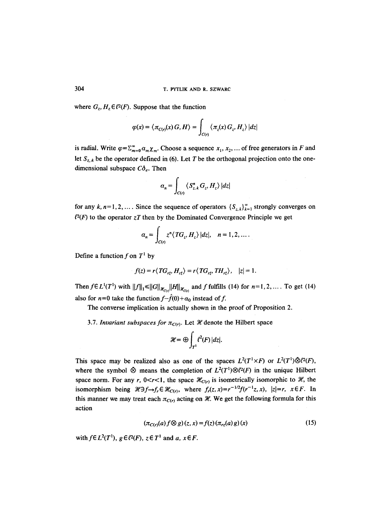where  $G_z$ ,  $H_z \in \ell^2(F)$ . Suppose that the function

$$
\varphi(x) = \langle \pi_{C(r)}(x) G, H \rangle = \int_{C(r)} \langle \pi_z(x) G_z, H_z \rangle |dz|
$$

is radial. Write  $\varphi = \sum_{m=0}^{\infty} a_m \chi_m$ . Choose a sequence  $x_1, x_2, \ldots$  of free generators in F and let  $S_{z,k}$  be the operator defined in (6). Let T be the orthogonal projection onto the onedimensional subspace  $C\delta_e$ . Then

$$
\alpha_n = \int_{C(r)} \left\langle S_{z,k}^n G_z, H_z \right\rangle |dz|
$$

for any  $k, n=1,2,...$ . Since the sequence of operators  $\{S_{z,k}\}_{k=1}^{\infty}$  strongly converges on  $l^2(F)$  to the operator  $zT$  then by the Dominated Convergence Principle we get

$$
\alpha_n = \int_{C(r)} z^n \langle TG_z, H_z \rangle |dz|, \quad n = 1, 2, \dots.
$$

Define a function f on  $T^1$  by

$$
f(z) = r \langle TG_{r\bar{z}}, H_{r\bar{z}} \rangle = r \langle TG_{r\bar{z}}, TH_{r\bar{z}} \rangle, \quad |z| = 1.
$$

*Then f*  $\in L^1(T^1)$  *with*  $||f||_1 \le ||G||_{\mathcal{H}_{C(r)}} ||H||_{\mathcal{H}_{C(r)}}$  and f fulfills (14) for  $n=1, 2, ...$ . To get (14) also for  $n=0$  take the function  $f-\hat{f}(0)+\alpha_0$  instead of f.

The converse implication is actually shown in the proof of Proposition 2.

3.7. *Invariant subspaces for*  $\pi_{C(r)}$ . Let *H* denote the Hilbert space

$$
\mathcal{H}=\bigoplus_{T^1}\ell^2(F)\,|dz|.
$$

This space may be realized also as one of the spaces  $L^2(T^1 \times F)$  or  $L^2(T^1) \ddot{\otimes} l^2(F)$ , where the symbol  $\otimes$  means the completion of  $L^2(T^1)\otimes \ell^2(F)$  in the unique Hilbert space norm. For any r,  $0 < r < 1$ , the space  $\mathcal{H}_{C(r)}$  is isometrically isomorphic to  $\mathcal{H}$ , the isomorphism being  $\mathcal{H}\ni f_r \in \mathcal{H}_{C(r)}$ , where  $f_r(z, x) = r^{-1/2}f(r^{-1}z, x)$ ,  $|z|=r$ ,  $x \in F$ . In this manner we may treat each  $\pi_{C(r)}$  acting on  $\mathcal{H}$ . We get the following formula for this action

$$
(\pi_{C(r)}(a) f \otimes g)(z, x) = f(z) (\pi_{rz}(a) g)(x) \tag{15}
$$

 $\mathcal{A}^{\mathcal{A}}$ 

with  $f \in L^2(T^1)$ ,  $g \in \ell^2(F)$ ,  $z \in T^1$  and a,  $x \in F$ .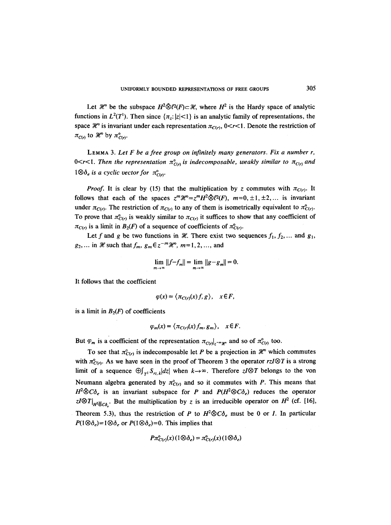Let H<sup>2</sup> be the subspace  $H^2\ddot{\otimes}l^2(F)\subset\mathcal{H}$ , where  $H^2$  is the Hardy space of analytic functions in  $L^2(T^1)$ . Then since  $\{\pi_z: |z|<1\}$  is an analytic family of representations, the space  $\mathcal{H}^{\circ}$  is invariant under each representation  $\pi_{C(r)}$ , 0<r<1. Denote the restriction of  $\pi_{C(r)}$  to  $\mathcal{H}^{\circ}$  by  $\pi_{C(r)}^{\circ}$ .

LEMMA 3. *Let F be a free group on infinitely many generators. Fix a number r,*  0<r < 1. Then the representation  $\pi_{Cr}^{\circ}$  is indecomposable, weakly similar to  $\pi_{Cr}$  and  $1 \otimes \delta_e$  is a cyclic vector for  $\pi_{CR}^{\circ}$ .

*Proof.* It is clear by (15) that the multiplication by z commutes with  $\pi_{C(r)}$ . It follows that each of the spaces  $z^m\mathcal{H}^{\circ} = z^mH^2\tilde{\otimes}l^2(F)$ ,  $m=0, \pm 1, \pm 2, ...$  is invariant under  $\pi_{C(r)}$ . The restriction of  $\pi_{C(r)}$  to any of them is isometrically equivalent to  $\pi_{C(r)}^{\circ}$ . To prove that  $\pi_{C(r)}^{\circ}$  is weakly similar to  $\pi_{C(r)}$  it suffices to show that any coefficient of  $\pi_{C(r)}$  is a limit in  $B_2(F)$  of a sequence of coefficients of  $\pi_{C(r)}^{\circ}$ .

Let f and g be two functions in  $\mathcal{X}$ . There exist two sequences  $f_1, f_2, \ldots$  and  $g_1$ ,  $g_2, \ldots$  in  $\mathcal X$  such that  $f_m, g_m \in z^{-m} \mathcal X^{\circ}, m=1,2, \ldots$ , and

$$
\lim_{m\to\infty}||f-f_m||=\lim_{m\to\infty}||g-g_m||=0.
$$

It follows that the coefficient

$$
\varphi(x) = \langle \pi_{C(r)}(x) f, g \rangle, \quad x \in F,
$$

is a limit in  $B_2(F)$  of coefficients

$$
\varphi_m(x) = \langle \pi_{C(r)}(x) f_m, g_m \rangle, \quad x \in F.
$$

But  $\varphi_m$  is a coefficient of the representation  $\pi_{C(r)|z - mg^n}$  and so of  $\pi_{C(r)}^{\circ}$  too.

To see that  $\pi_{Cr}^{\circ}$  is indecomposable let P be a projection in  $\mathcal{H}^{\circ}$  which commutes with  $\pi_{C(r)}^{\circ}$ . As we have seen in the proof of Theorem 3 the operator rzI $\otimes$ T is a strong limit of a sequence  $\bigoplus_{\tau \in S_{r,z}} |dz|$  when  $k \to \infty$ . Therefore  $z/\sqrt{2}T$  belongs to the von Neumann algebra generated by  $\pi_{C(r)}^{\circ}$  and so it commutes with P. This means that  $H^2 \hat{\otimes} C \delta_e$  is an invariant subspace for P and  $P(H^2 \hat{\otimes} C \delta_e)$  reduces the operator  $zI \otimes T|_{H^2 \bar{\otimes} C\delta}$ . But the multiplication by z is an irreducible operator on  $H^2$  (cf. [16], Theorem 5.3), thus the restriction of P to  $H^2 \bar{\otimes} C \delta_e$  must be 0 or I. In particular

 $P(1 \otimes \delta_e) = 1 \otimes \delta_e$  or  $P(1 \otimes \delta_e) = 0$ . This implies that

$$
P\pi_{C(r)}^{0}(x)\left(1\otimes\delta_{e}\right)=\pi_{C(r)}^{0}(x)\left(1\otimes\delta_{e}\right)
$$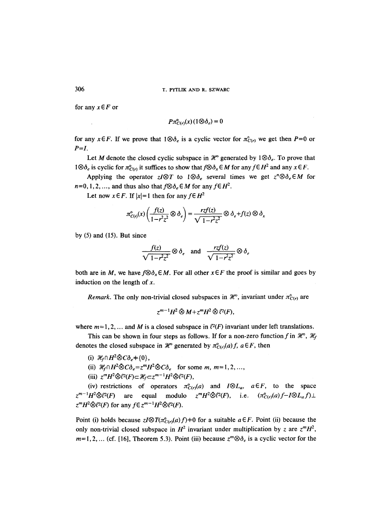for any  $x \in F$  or

$$
P\pi_{C(r)}^{\circ}(x)\left(1\otimes\delta_e\right)=0
$$

for any  $x \in F$ . If we prove that  $1 \otimes \delta_e$  is a cyclic vector for  $\pi^{\circ}_{C(r)}$  we get then  $P=0$  or *P=I.* 

Let M denote the closed cyclic subspace in  $\mathcal{H}^{\circ}$  generated by  $1 \otimes \delta_e$ . To prove that  $1\otimes \delta_e$  is cyclic for  $\pi_{C(r)}^e$  it suffices to show that  $f\otimes \delta_x \in M$  for any  $f\in H^2$  and any  $x\in F$ .

Applying the operator  $z/\mathcal{T}$  to  $1\mathcal{D}\delta_e$  several times we get  $z^n\mathcal{D}\delta_e\in M$  for  $n=0, 1, 2, \ldots$ , and thus also that  $f \otimes \delta_e \in M$  for any  $f \in H^2$ .

Let now  $x \in F$ . If  $|x|=1$  then for any  $f \in H^2$ 

$$
\pi_{C(r)}^{\circ}(x)\left(\frac{f(z)}{1-r^2z^2}\otimes\delta_e\right)=\frac{rzf(z)}{\sqrt{1-r^2z^2}}\otimes\delta_e+f(z)\otimes\delta_x
$$

by  $(5)$  and  $(15)$ . But since

$$
\frac{f(z)}{\sqrt{1-r^2z^2}} \otimes \delta_e \quad \text{and} \quad \frac{rzf(z)}{\sqrt{1-r^2z^2}} \otimes \delta_e
$$

both are in M, we have  $f \otimes \delta_x \in M$ . For all other  $x \in F$  the proof is similar and goes by induction on the length of  $x$ .

*Remark.* The only non-trivial closed subspaces in  $\mathcal{H}^{\circ}$ , invariant under  $\pi_{C(r)}^{\circ}$  are

$$
z^{m-1}H^2\,\bar{\otimes}\,M + z^mH^2\,\bar{\otimes}\,\ell^2(F),
$$

where  $m=1,2,...$  and M is a closed subspace in  $l^2(F)$  invariant under left translations.

This can be shown in four steps as follows. If for a non-zero function f in  $\mathcal{H}^{\circ}$ ,  $\mathcal{H}_f$ denotes the closed subspace in  $\mathcal{H}^{\circ}$  generated by  $\pi_{C(r)}^{\circ}(a) f$ ,  $a \in F$ , then

- (i)  $\mathcal{H}_f \cap H^2 \otimes C \delta_e = \{0\},$
- (ii)  $\mathcal{H}_f \cap H^2 \tilde{\otimes} C \delta_e = z^m H^2 \tilde{\otimes} C \delta_e$  for some m, m=1,2,...
- (iii)  $z^mH^2\bar{\otimes}l^2(F) \subset \mathcal{H}_f \subset z^{m-1}H^2\bar{\otimes}l^2(F)$ ,

(iv) restrictions of operators  $\pi_{C(r)}^{\circ}(a)$  and  $I \otimes L_a$ ,  $a \in F$ , to the space  $z^{m-1}H^2\tilde{\otimes}l^2(F)$  are equal modulo  $z^mH^2\tilde{\otimes}l^2(F)$ , i.e.  $(\pi_{Cr}(a)f-I\otimes L_a f)\perp$  $z^m H^2 \tilde{\otimes} l^2(F)$  for any  $f \in z^{m-1} H^2 \tilde{\otimes} l^2(F)$ .

Point (i) holds because  $zI\otimes T(\pi_{C(r)}^{\circ}(a) f) \neq 0$  for a suitable  $a \in F$ . Point (ii) because the only non-trivial closed subspace in  $H^2$  invariant under multiplication by z are  $z^mH^2$ ,  $m=1, 2, ...$  (cf. [16], Theorem 5.3). Point (iii) because  $z^m \otimes \delta_{\epsilon}$  is a cyclic vector for the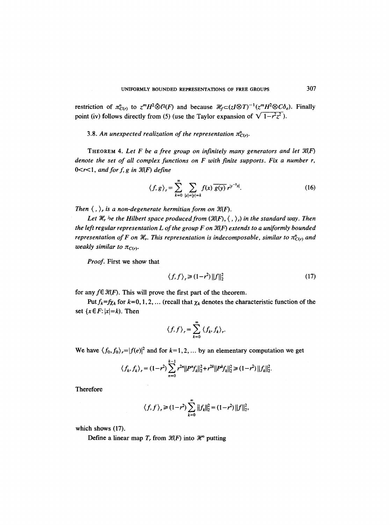restriction of  $\pi_{C(r)}^{\circ}$  to  $z^{m}H^{2}\bar{\otimes}l^{2}(F)$  and because  $\mathcal{H}_{f}\subset (zI\otimes T)^{-1}(z^{m}H^{2}\otimes C\delta_{e})$ . Finally point (iv) follows directly from (5) (use the Taylor expansion of  $\sqrt{1-r^2z^2}$ ).

## 3.8. An unexpected realization of the representation  $\pi^o_{C(r)}$ .

THEOREM 4. *Let F be a free group on infinitely many generators and let Y{(F) denote the set of all complex functions on F with finite supports. Fix a number r,*   $0 < r < 1$ , and for f, g in  $\mathcal{K}(F)$  define

$$
\langle f, g \rangle_r = \sum_{k=0}^{\infty} \sum_{|x|=|y|=k} f(x) \overline{g(y)} r^{|y^{-1}x|}.
$$
 (16)

Then  $\langle , \rangle_r$  is a non-degenerate hermitian form on  $\mathcal{H}(F)$ .

Let  $\mathcal{H}_r$  be the Hilbert space produced from  $(\mathcal{K}(F), \langle , \rangle_r)$  in the standard way. Then *the left regular representation L of the group F on*  $\mathcal{K}(F)$  *extends to a uniformly bounded representation of F on*  $H_r$ *. This representation is indecomposable, similar to*  $\pi_{C(r)}^{\circ}$  *and weakly similar to*  $\pi_{C(r)}$ .

*Proof.* First we show that

$$
\langle f, f \rangle_r \geq (1 - r^2) \|f\|_2^2 \tag{17}
$$

for any  $f \in \mathcal{H}(F)$ . This will prove the first part of the theorem.

*Put*  $f_k = f\chi_k$  for  $k = 0, 1, 2, ...$  (recall that  $\chi_k$  denotes the characteristic function of the set  $\{x \in F: |x|=k\}$ . Then

$$
\langle f, f \rangle_{r} = \sum_{k=0}^{\infty} \langle f_{k}, f_{k} \rangle_{r}.
$$

We have  $\langle f_0, f_0 \rangle_r = |f(e)|^2$  and for  $k=1, 2, ...$  by an elementary computation we get

 $k-1$ 

$$
\langle f_k, f_k \rangle_r = (1 - r^2) \sum_{n=0}^{k-1} r^{2n} ||P^n f_k||_2^2 + r^{2k} ||P^k f_k||_2^2 \ge (1 - r^2) ||f_k||_2^2.
$$

**Therefore** 

$$
\langle f, f \rangle_r \ge (1 - r^2) \sum_{k=0}^{\infty} ||f_k||_2^2 = (1 - r^2) ||f||_2^2
$$

which shows (17).

Define a linear map  $T_r$  from  $\mathcal{H}(F)$  into  $\mathcal{H}^{\circ}$  putting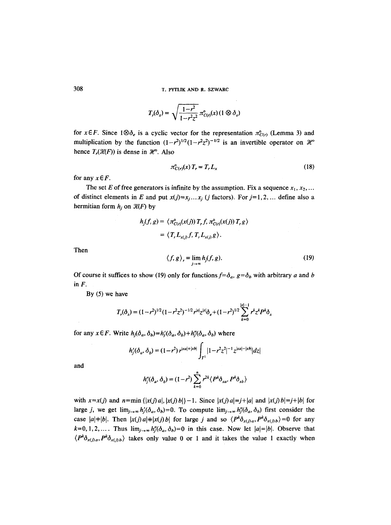$$
T_r(\delta_x) = \sqrt{\frac{1-r^2}{1-r^2z^2}} \pi_{C(r)}^{\circ}(x) (1 \otimes \delta_e)
$$

for  $x \in F$ . Since  $1 \otimes \delta_e$  is a cyclic vector for the representation  $\pi_{C(r)}^{\circ}$  (Lemma 3) and multiplication by the function  $(1-r^2)^{1/2}(1-r^2z^2)^{-1/2}$  is an invertible operator on  $\mathcal{H}^{\circ}$ hence  $T_r(\mathcal{H}(F))$  is dense in  $\mathcal{H}^{\circ}$ . Also

$$
\pi_{C(r)}^{\circ}(x) T_r = T_r L_x \tag{18}
$$

for any  $x \in F$ .

The set E of free generators is infinite by the assumption. Fix a sequence  $x_1, x_2, ...$ of distinct elements in E and put  $x(j)=x_j...x_j$  (j factors). For  $j=1,2,...$  define also a hermitian form  $h_j$  on  $\mathcal{K}(F)$  by

$$
h_j(f, g) = \langle \pi_{C(r)}^{\circ}(x(j)) T_r f, \pi_{C(r)}^{\circ}(x(j)) T_r g \rangle
$$
  
=  $\langle T_r L_{x(j)} f, T_r L_{x(j)} g \rangle$ .

Then

$$
\langle f, g \rangle_r = \lim_{j \to \infty} h_j(f, g). \tag{19}
$$

Of course it suffices to show (19) only for functions  $f=\delta_a$ ,  $g=\delta_b$  with arbitrary a and b **in F.** 

By (5) we have

$$
T_r(\delta_x) = (1 - r^2)^{1/2} (1 - r^2 z^2)^{-1/2} r^{|x|} z^{|x|} \delta_e + (1 - r^2)^{1/2} \sum_{k=0}^{|x|-1} r^k z^k P^k \delta_x
$$

for any  $x \in F$ . Write  $h_j(\delta_a, \delta_b)=h'_j(\delta_a, \delta_b)+h''_j(\delta_a, \delta_b)$  where

$$
h'_{j}(\delta_{a}, \delta_{b}) = (1 - r^{2}) r^{|xa| + |xb|} \int_{T^{1}} |1 - r^{2}z^{2}|^{-1} z^{|xa| - |xb|} |dz|
$$

and

$$
h''_j(\delta_a, \delta_b) = (1 - r^2) \sum_{k=0}^n r^{2k} \langle P^k \delta_{xa}, P^k \delta_{xb} \rangle
$$

with  $x=x(j)$  and  $n=min\{|x(j)a|, |x(j)b|\}-1$ . Since  $|x(j)a|=j+|a|$  and  $|x(j)b|=j+|b|$  for large j, we get  $\lim_{j\to\infty}h_j'(\delta_a, \delta_b)=0$ . To compute  $\lim_{j\to\infty}h_j''(\delta_a, \delta_b)$  first consider the case  $|a|+|b|$ . Then  $|x(j)a|+|x(j)b|$  for large j and so  $\langle P^k \delta_{x(j)a}, P^k \delta_{x(j)b} \rangle = 0$  for any  $k=0,1,2,...$  *Thus*  $\lim_{j\to\infty} h_j''(\delta_a, \delta_b)=0$  in this case. Now let  $|a|=|b|$ . Observe that  $\langle P^k \delta_{x(j)a}, P^k \delta_{x(j)b} \rangle$  takes only value 0 or 1 and it takes the value 1 exactly when